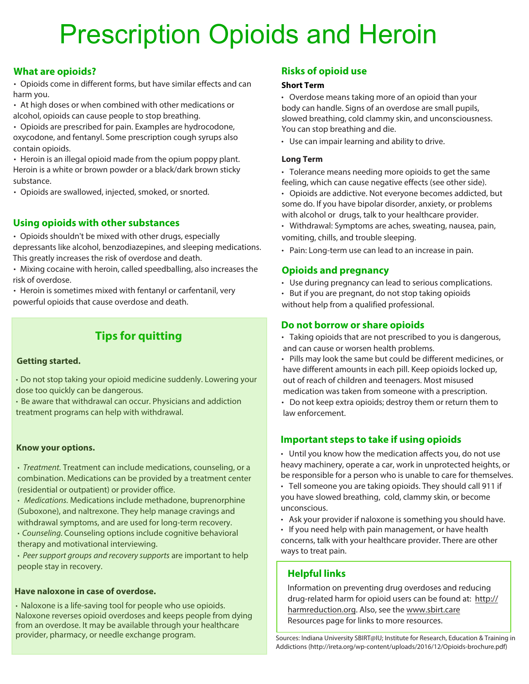# Prescription Opioids and Heroin

# **What are opioids?**

• Opioids come in different forms, but have similar effects and can **Short Term** harm you.

• At high doses or when combined with other medications or alcohol, opioids can cause people to stop breathing.

• Opioids are prescribed for pain. Examples are hydrocodone, oxycodone, and fentanyl. Some prescription cough syrups also contain opioids.

• Heroin is an illegal opioid made from the opium poppy plant. Heroin is a white or brown powder or a black/dark brown sticky substance.

• Opioids are swallowed, injected, smoked, or snorted.

# **Using opioids with other substances**

• Opioids shouldn't be mixed with other drugs, especially depressants like alcohol, benzodiazepines, and sleeping medications. This greatly increases the risk of overdose and death.

• Mixing cocaine with heroin, called speedballing, also increases the risk of overdose.

• Heroin is sometimes mixed with fentanyl or carfentanil, very powerful opioids that cause overdose and death.

# **Tips for quitting**

## **Getting started.**

• Do not stop taking your opioid medicine suddenly. Lowering your dose too quickly can be dangerous.

• Be aware that withdrawal can occur. Physicians and addiction treatment programs can help with withdrawal.

## **Know your options.**

• Treatment*.* Treatment can include medications, counseling, or a combination. Medications can be provided by a treatment center (residential or outpatient) or provider office.

• Medications*.* Medications include methadone, buprenorphine (Suboxone), and naltrexone. They help manage cravings and withdrawal symptoms, and are used for long-term recovery.

•Counseling *.* Counseling options include cognitive behavioral therapy and motivational interviewing.

• Peer support groups and recovery supports are important to help people stay in recovery.

## **Have naloxone in case of overdose.**

• Naloxone is a life-saving tool for people who use opioids. Naloxone reverses opioid overdoses and keeps people from dying from an overdose. It may be available through your healthcare provider, pharmacy, or needle exchange program.

# **Risks of opioid use**

• Overdose means taking more of an opioid than your body can handle. Signs of an overdose are small pupils, slowed breathing, cold clammy skin, and unconsciousness. You can stop breathing and die.

• Use can impair learning and ability to drive.

### **Long Term**

• Tolerance means needing more opioids to get the same feeling, which can cause negative effects (see other side).

• Opioids are addictive. Not everyone becomes addicted, but some do. If you have bipolar disorder, anxiety, or problems with alcohol or drugs, talk to your healthcare provider.

• Withdrawal: Symptoms are aches, sweating, nausea, pain, vomiting, chills, and trouble sleeping.

• Pain: Long-term use can lead to an increase in pain.

# **Opioids and pregnancy**

- Use during pregnancy can lead to serious complications.
- But if you are pregnant, do not stop taking opioids without help from a qualified professional.

# **Do not borrow or share opioids**

• Taking opioids that are not prescribed to you is dangerous, and can cause or worsen health problems.

• Pills may look the same but could be different medicines, or have different amounts in each pill. Keep opioids locked up, out of reach of children and teenagers. Most misused medication was taken from someone with a prescription.

• Do not keep extra opioids; destroy them or return them to law enforcement.

# **Important steps to take if using opioids**

• Until you know how the medication affects you, do not use heavy machinery, operate a car, work in unprotected heights, or be responsible for a person who is unable to care for themselves.

• Tell someone you are taking opioids. They should call 911 if you have slowed breathing, cold, clammy skin, or become unconscious.

• Ask your provider if naloxone is something you should have.

• If you need help with pain management, or have health concerns, talk with your healthcare provider. There are other ways to treat pain.

# **Helpful links**

Information on preventing drug overdoses and reducing drug-related harm for opioid users can be found at: http:// harmreduction.org. Also, see the www.sbirt.care Resources page for links to more resources.

Sources: Indiana University SBIRT@IU; Institute for Research, Education & Training in Addictions (http://ireta.org/wp-content/uploads/2016/12/Opioids-brochure.pdf)